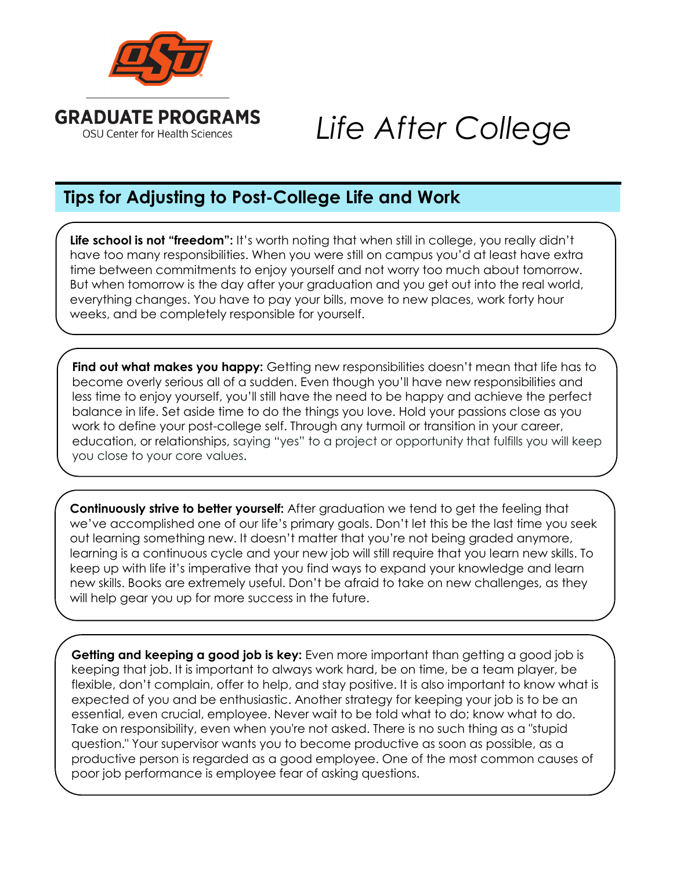

## *Life After College*

## **Tips for Adjusting to Post-College Life and Work**

**Life school is not "freedom":** It's worth noting that when still in college, you really didn't have too many responsibilities. When you were still on campus you'd at least have extra time between commitments to enjoy yourself and not worry too much about tomorrow. But when tomorrow is the day after your graduation and you get out into the real world, everything changes. You have to pay your bills, move to new places, work forty hour weeks, and be completely responsible for yourself.

Find out what makes you happy: Getting new responsibilities doesn't mean that life has to become overly serious all of a sudden. Even though you'll have new responsibilities and less time to enjoy yourself, you'll still have the need to be happy and achieve the perfect balance in life. Set aside time to do the things you love. Hold your passions close as you work to define your post-college self. Through any turmoil or transition in your career, education, or relationships, [saying "yes" to a project or opportunity that fulfills you will keep](http://verilymag.com/2015/08/career-tips-value-of-saying-no-workplace-women-power-female-leaders)  [you close to your core values.](http://verilymag.com/2015/08/career-tips-value-of-saying-no-workplace-women-power-female-leaders)

**Continuously strive to better yourself:** After graduation we tend to get the feeling that we've accomplished one of our life's primary goals. Don't let this be the last time you seek out learning something new. It doesn't matter that you're not being graded anymore, learning is a continuous cycle and your new job will still require that you learn new skills. To keep up with life it's imperative that you find ways to expand your knowledge and learn new skills. Books are extremely useful. Don't be afraid to take on new challenges, as they will help gear you up for more success in the future.

**Getting and keeping a good job is key:** Even more important than getting a good job is keeping that job. It is important to always work hard, be on time, be a team player, be flexible, don't complain, offer to help, and stay positive. It is also important to know what is expected of you and be enthusiastic. Another strategy for keeping your job is to be an essential, even crucial, employee. Never wait to be told what to do; know what to do. Take on responsibility, even when you're not asked. There is no such thing as a "stupid question." Your supervisor wants you to become productive as soon as possible, as a productive person is regarded as a good employee. One of the most common causes of poor job performance is employee fear of asking questions.